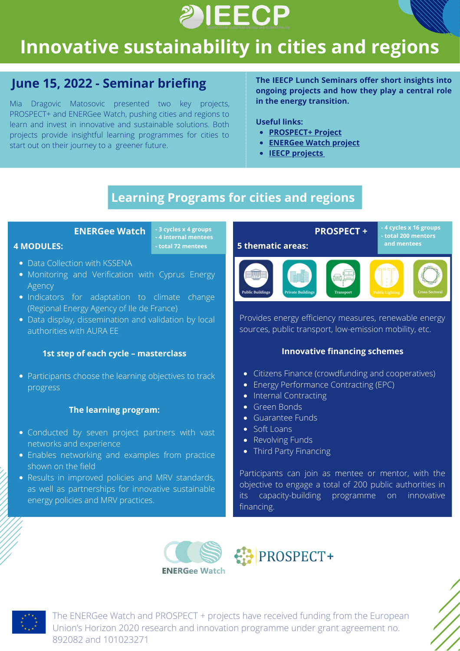

# **Innovative sustainability in cities and regions**

## **June 15, 2022 - Seminar briefing**

Mia Dragovic Matosovic presented two key projects, PROSPECT+ and ENERGee Watch, pushing cities and regions to learn and invest in innovative and sustainable solutions. Both projects provide insightful learning programmes for cities to start out on their journey to a greener future.

**The IEECP Lunch Seminars offer short insights into ongoing projects and how they play a central role in the energy transition.**

#### **Useful links:**

- **[PROSPECT+](https://www.h2020prospect.eu/) Project**
- **[ENERGee](https://energee-watch.eu/) Watch project**
- **IEECP [projects](https://ieecp.org/projects-grid-with-sidebar/)**

# **Learning Programs for cities and regions**

**- 4 internal mentees**

#### **4 MODULES:**

- Data Collection with KSSENA
- Monitoring and Verification with Cyprus Energy Agency
- Indicators for adaptation to climate change (Regional Energy Agency of Ile de France)
- Data display, dissemination and validation by local authorities with AURA EE

### **1st step of each cycle – masterclass**

• Participants choose the learning objectives to track progress

#### **The learning program:**

- Conducted by seven project partners with vast networks and experience
- Enables networking and examples from practice shown on the field
- Results in improved policies and MRV standards, as well as partnerships for innovative sustainable energy policies and MRV practices.



Provides energy efficiency measures, renewable energy sources, public transport, low-emission mobility, etc.

#### **Innovative financing schemes**

- Citizens Finance (crowdfunding and cooperatives)
- Energy Performance Contracting (EPC)
- Internal Contracting
- Green Bonds
- Guarantee Funds
- Soft Loans
- Revolving Funds
- Third Party Financing

Participants can join as mentee or mentor, with the objective to engage a total of 200 public authorities in its capacity-building programme on innovative financing.







The ENERGee Watch and PROSPECT + projects have received funding from the European Union's Horizon 2020 research and innovation programme under grant agreement no. 892082 and 101023271